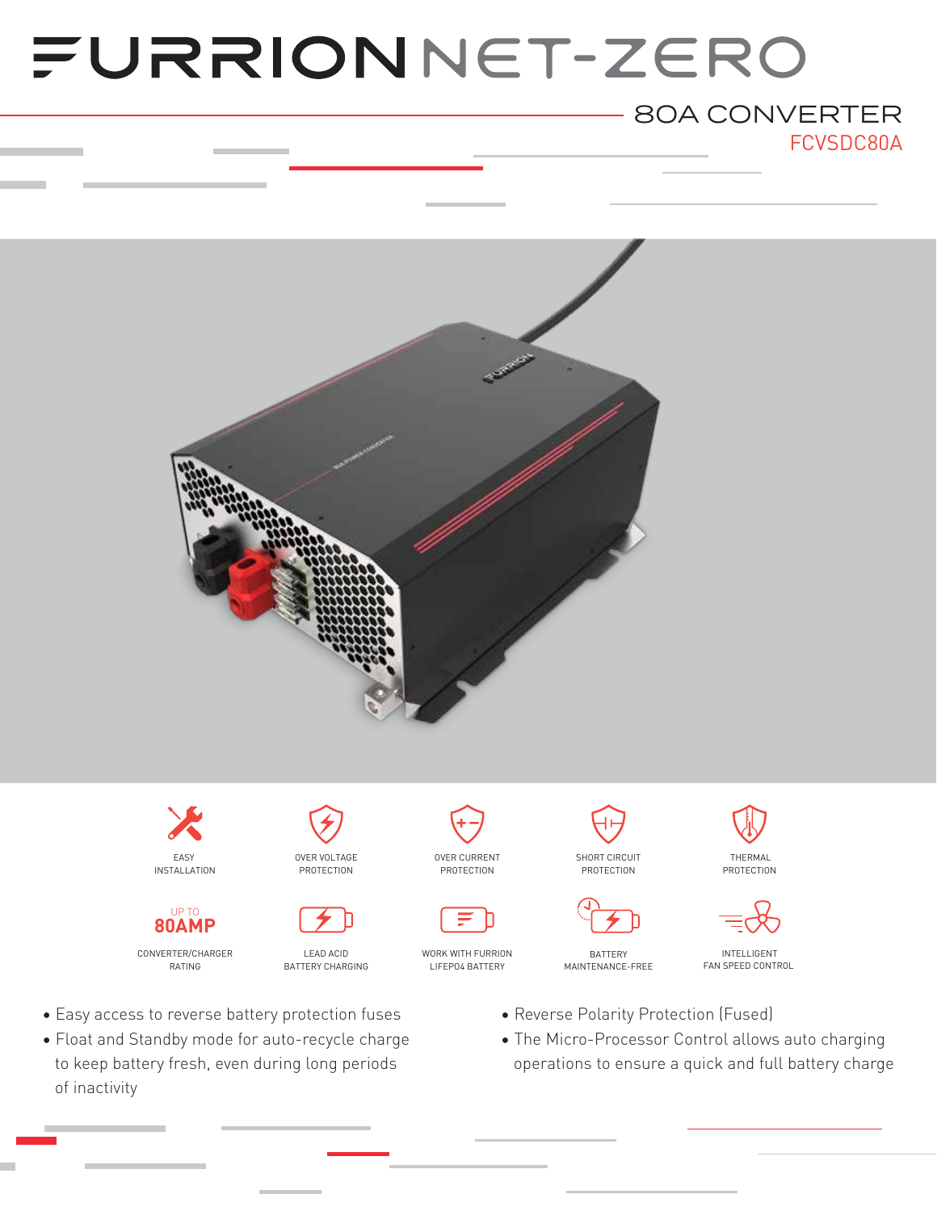## FURRIONNET-ZERO

## FCVSDC80A 80A CONVERTER









PROTECTION



OVER CURRENT

PROTECTION

WORK WITH FURRION LIFEPO4 BATTERY



PROTECTION



BATTERY MAINTENANCE-FREE





INTELLIGENT FAN SPEED CONTROL

- Easy access to reverse battery protection fuses
- Float and Standby mode for auto-recycle charge to keep battery fresh, even during long periods of inactivity
- Reverse Polarity Protection (Fused)
- The Micro-Processor Control allows auto charging operations to ensure a quick and full battery charge